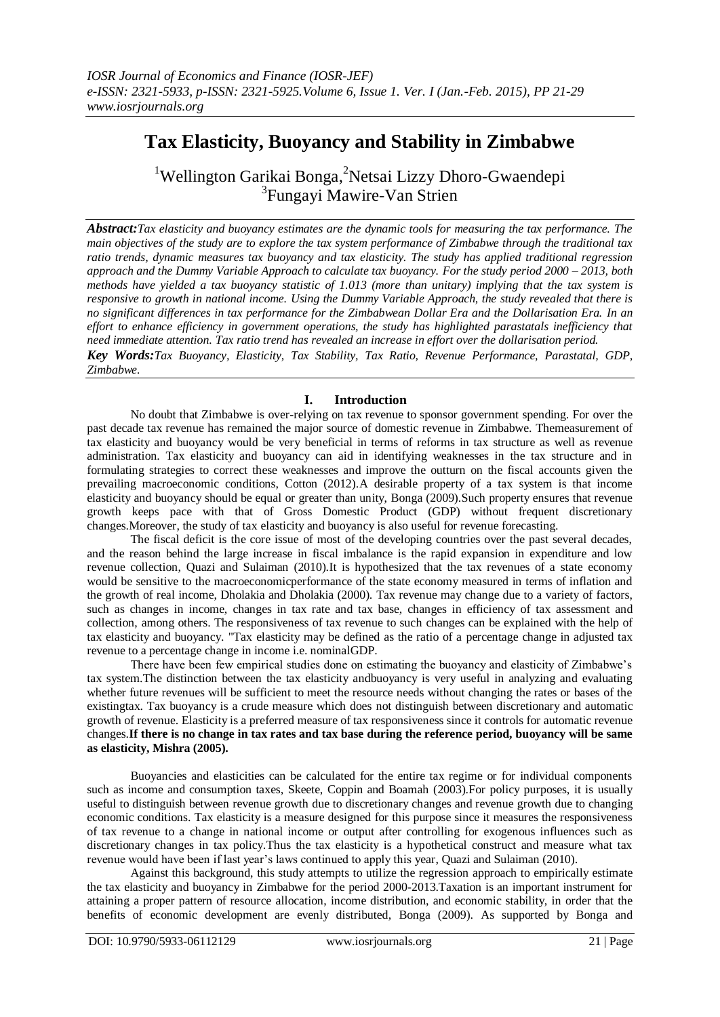# **Tax Elasticity, Buoyancy and Stability in Zimbabwe**

<sup>1</sup>Wellington Garikai Bonga, <sup>2</sup>Netsai Lizzy Dhoro-Gwaendepi <sup>3</sup>Fungayi Mawire-Van Strien

*Abstract:Tax elasticity and buoyancy estimates are the dynamic tools for measuring the tax performance. The main objectives of the study are to explore the tax system performance of Zimbabwe through the traditional tax ratio trends, dynamic measures tax buoyancy and tax elasticity. The study has applied traditional regression approach and the Dummy Variable Approach to calculate tax buoyancy. For the study period 2000 – 2013, both methods have yielded a tax buoyancy statistic of 1.013 (more than unitary) implying that the tax system is responsive to growth in national income. Using the Dummy Variable Approach, the study revealed that there is no significant differences in tax performance for the Zimbabwean Dollar Era and the Dollarisation Era. In an effort to enhance efficiency in government operations, the study has highlighted parastatals inefficiency that need immediate attention. Tax ratio trend has revealed an increase in effort over the dollarisation period. Key Words:Tax Buoyancy, Elasticity, Tax Stability, Tax Ratio, Revenue Performance, Parastatal, GDP, Zimbabwe.*

# **I. Introduction**

No doubt that Zimbabwe is over-relying on tax revenue to sponsor government spending. For over the past decade tax revenue has remained the major source of domestic revenue in Zimbabwe. Themeasurement of tax elasticity and buoyancy would be very beneficial in terms of reforms in tax structure as well as revenue administration. Tax elasticity and buoyancy can aid in identifying weaknesses in the tax structure and in formulating strategies to correct these weaknesses and improve the outturn on the fiscal accounts given the prevailing macroeconomic conditions, Cotton (2012).A desirable property of a tax system is that income elasticity and buoyancy should be equal or greater than unity, Bonga (2009).Such property ensures that revenue growth keeps pace with that of Gross Domestic Product (GDP) without frequent discretionary changes.Moreover, the study of tax elasticity and buoyancy is also useful for revenue forecasting.

The fiscal deficit is the core issue of most of the developing countries over the past several decades, and the reason behind the large increase in fiscal imbalance is the rapid expansion in expenditure and low revenue collection, Quazi and Sulaiman (2010).It is hypothesized that the tax revenues of a state economy would be sensitive to the macroeconomicperformance of the state economy measured in terms of inflation and the growth of real income, Dholakia and Dholakia (2000). Tax revenue may change due to a variety of factors, such as changes in income, changes in tax rate and tax base, changes in efficiency of tax assessment and collection, among others. The responsiveness of tax revenue to such changes can be explained with the help of tax elasticity and buoyancy. "Tax elasticity may be defined as the ratio of a percentage change in adjusted tax revenue to a percentage change in income i.e. nominalGDP.

There have been few empirical studies done on estimating the buoyancy and elasticity of Zimbabwe's tax system.The distinction between the tax elasticity andbuoyancy is very useful in analyzing and evaluating whether future revenues will be sufficient to meet the resource needs without changing the rates or bases of the existingtax. Tax buoyancy is a crude measure which does not distinguish between discretionary and automatic growth of revenue. Elasticity is a preferred measure of tax responsiveness since it controls for automatic revenue changes.**If there is no change in tax rates and tax base during the reference period, buoyancy will be same as elasticity, Mishra (2005).**

Buoyancies and elasticities can be calculated for the entire tax regime or for individual components such as income and consumption taxes, Skeete, Coppin and Boamah (2003). For policy purposes, it is usually useful to distinguish between revenue growth due to discretionary changes and revenue growth due to changing economic conditions. Tax elasticity is a measure designed for this purpose since it measures the responsiveness of tax revenue to a change in national income or output after controlling for exogenous influences such as discretionary changes in tax policy.Thus the tax elasticity is a hypothetical construct and measure what tax revenue would have been if last year's laws continued to apply this year, Quazi and Sulaiman (2010).

Against this background, this study attempts to utilize the regression approach to empirically estimate the tax elasticity and buoyancy in Zimbabwe for the period 2000-2013.Taxation is an important instrument for attaining a proper pattern of resource allocation, income distribution, and economic stability, in order that the benefits of economic development are evenly distributed, Bonga (2009). As supported by Bonga and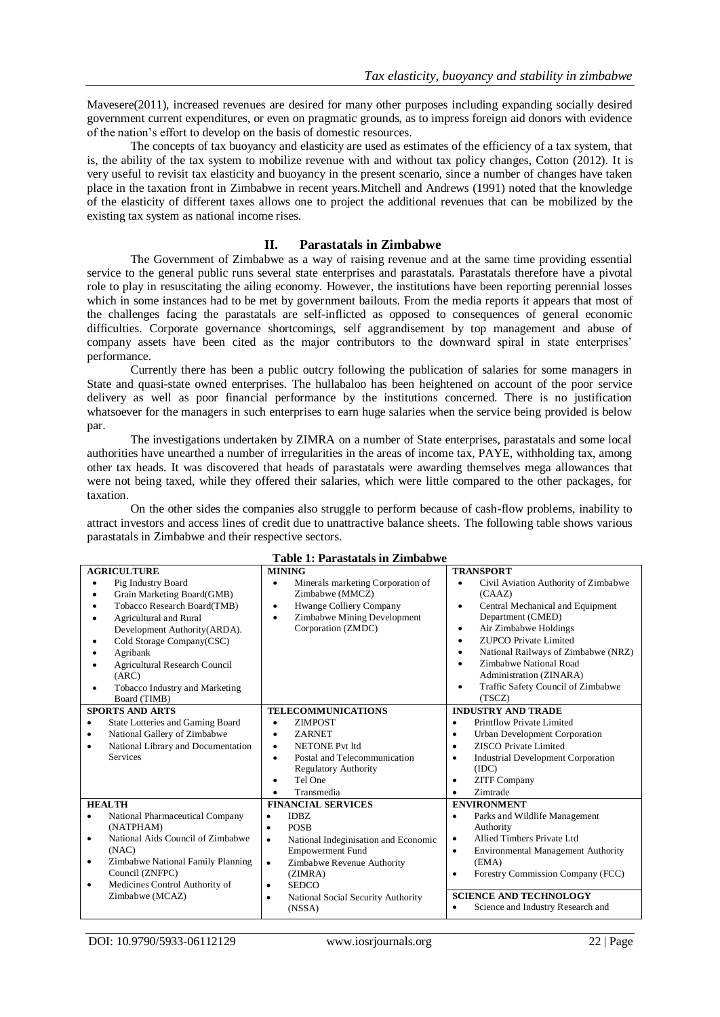Mavesere(2011), increased revenues are desired for many other purposes including expanding socially desired government current expenditures, or even on pragmatic grounds, as to impress foreign aid donors with evidence of the nation's effort to develop on the basis of domestic resources.

The concepts of tax buoyancy and elasticity are used as estimates of the efficiency of a tax system, that is, the ability of the tax system to mobilize revenue with and without tax policy changes, Cotton (2012). It is very useful to revisit tax elasticity and buoyancy in the present scenario, since a number of changes have taken place in the taxation front in Zimbabwe in recent years.Mitchell and Andrews (1991) noted that the knowledge of the elasticity of different taxes allows one to project the additional revenues that can be mobilized by the existing tax system as national income rises.

# **II. Parastatals in Zimbabwe**

The Government of Zimbabwe as a way of raising revenue and at the same time providing essential service to the general public runs several state enterprises and parastatals. Parastatals therefore have a pivotal role to play in resuscitating the ailing economy. However, the institutions have been reporting perennial losses which in some instances had to be met by government bailouts. From the media reports it appears that most of the challenges facing the parastatals are self-inflicted as opposed to consequences of general economic difficulties. Corporate governance shortcomings, self aggrandisement by top management and abuse of company assets have been cited as the major contributors to the downward spiral in state enterprises' performance.

Currently there has been a public outcry following the publication of salaries for some managers in State and quasi-state owned enterprises. The hullabaloo has been heightened on account of the poor service delivery as well as poor financial performance by the institutions concerned. There is no justification whatsoever for the managers in such enterprises to earn huge salaries when the service being provided is below par.

The investigations undertaken by ZIMRA on a number of State enterprises, parastatals and some local authorities have unearthed a number of irregularities in the areas of income tax, PAYE, withholding tax, among other tax heads. It was discovered that heads of parastatals were awarding themselves mega allowances that were not being taxed, while they offered their salaries, which were little compared to the other packages, for taxation.

On the other sides the companies also struggle to perform because of cash-flow problems, inability to attract investors and access lines of credit due to unattractive balance sheets. The following table shows various parastatals in Zimbabwe and their respective sectors.

| Table 1. I al astatais III <i>L</i> illibabwe  |                                           |                                                        |  |  |  |  |
|------------------------------------------------|-------------------------------------------|--------------------------------------------------------|--|--|--|--|
| <b>AGRICULTURE</b>                             | <b>MINING</b>                             | <b>TRANSPORT</b>                                       |  |  |  |  |
| Pig Industry Board<br>٠                        | Minerals marketing Corporation of<br>٠    | Civil Aviation Authority of Zimbabwe<br>$\bullet$      |  |  |  |  |
| Grain Marketing Board(GMB)<br>٠                | Zimbabwe (MMCZ)                           | (CAAZ)                                                 |  |  |  |  |
| Tobacco Research Board(TMB)<br>$\bullet$       | Hwange Colliery Company<br>$\bullet$      | Central Mechanical and Equipment<br>$\bullet$          |  |  |  |  |
| <b>Agricultural and Rural</b><br>٠             | Zimbabwe Mining Development<br>$\bullet$  | Department (CMED)                                      |  |  |  |  |
| Development Authority(ARDA).                   | Corporation (ZMDC)                        | Air Zimbabwe Holdings<br>٠                             |  |  |  |  |
| Cold Storage Company(CSC)<br>٠                 |                                           | <b>ZUPCO</b> Private Limited<br>$\bullet$              |  |  |  |  |
| Agribank                                       |                                           | National Railways of Zimbabwe (NRZ)<br>$\bullet$       |  |  |  |  |
| <b>Agricultural Research Council</b>           |                                           | Zimbabwe National Road<br>$\bullet$                    |  |  |  |  |
| (ARC)                                          |                                           | Administration (ZINARA)                                |  |  |  |  |
| Tobacco Industry and Marketing<br>٠            |                                           | Traffic Safety Council of Zimbabwe<br>$\bullet$        |  |  |  |  |
| Board (TIMB)                                   |                                           | (TSCZ)                                                 |  |  |  |  |
| <b>SPORTS AND ARTS</b>                         | <b>TELECOMMUNICATIONS</b>                 | <b>INDUSTRY AND TRADE</b>                              |  |  |  |  |
| State Lotteries and Gaming Board<br>٠          | <b>ZIMPOST</b>                            | Printflow Private Limited<br>$\bullet$                 |  |  |  |  |
| National Gallery of Zimbabwe<br>٠              | <b>ZARNET</b><br>$\bullet$                | Urban Development Corporation<br>$\bullet$             |  |  |  |  |
| National Library and Documentation<br>٠        | <b>NETONE Pvt ltd</b><br>$\bullet$        | ZISCO Private Limited<br>$\bullet$                     |  |  |  |  |
| <b>Services</b>                                | Postal and Telecommunication<br>$\bullet$ | <b>Industrial Development Corporation</b><br>$\bullet$ |  |  |  |  |
|                                                | <b>Regulatory Authority</b>               | (IDC)                                                  |  |  |  |  |
|                                                | Tel One<br>$\bullet$                      | <b>ZITF Company</b><br>$\bullet$                       |  |  |  |  |
|                                                | Transmedia                                | Zimtrade<br>$\bullet$                                  |  |  |  |  |
| <b>HEALTH</b>                                  | <b>FINANCIAL SERVICES</b>                 | <b>ENVIRONMENT</b>                                     |  |  |  |  |
| National Pharmaceutical Company<br>$\bullet$   | <b>IDBZ</b><br>٠                          | Parks and Wildlife Management<br>$\bullet$             |  |  |  |  |
| (NATPHAM)                                      | <b>POSB</b><br>$\bullet$                  | Authority                                              |  |  |  |  |
| National Aids Council of Zimbabwe<br>$\bullet$ | National Indeginisation and Economic<br>٠ | Allied Timbers Private Ltd<br>$\bullet$                |  |  |  |  |
| (NAC)                                          | <b>Empowerment Fund</b>                   | <b>Environmental Management Authority</b><br>$\bullet$ |  |  |  |  |
| Zimbabwe National Family Planning<br>٠         | Zimbabwe Revenue Authority<br>$\bullet$   | (EMA)                                                  |  |  |  |  |
| Council (ZNFPC)                                | (ZIMRA)                                   | Forestry Commission Company (FCC)<br>$\bullet$         |  |  |  |  |
| Medicines Control Authority of<br>$\bullet$    | <b>SEDCO</b><br>$\bullet$                 |                                                        |  |  |  |  |
| Zimbabwe (MCAZ)                                | National Social Security Authority<br>٠   | <b>SCIENCE AND TECHNOLOGY</b>                          |  |  |  |  |
|                                                | (NSSA)                                    | Science and Industry Research and                      |  |  |  |  |

## **Table 1: Parastatals in Zimbabwe**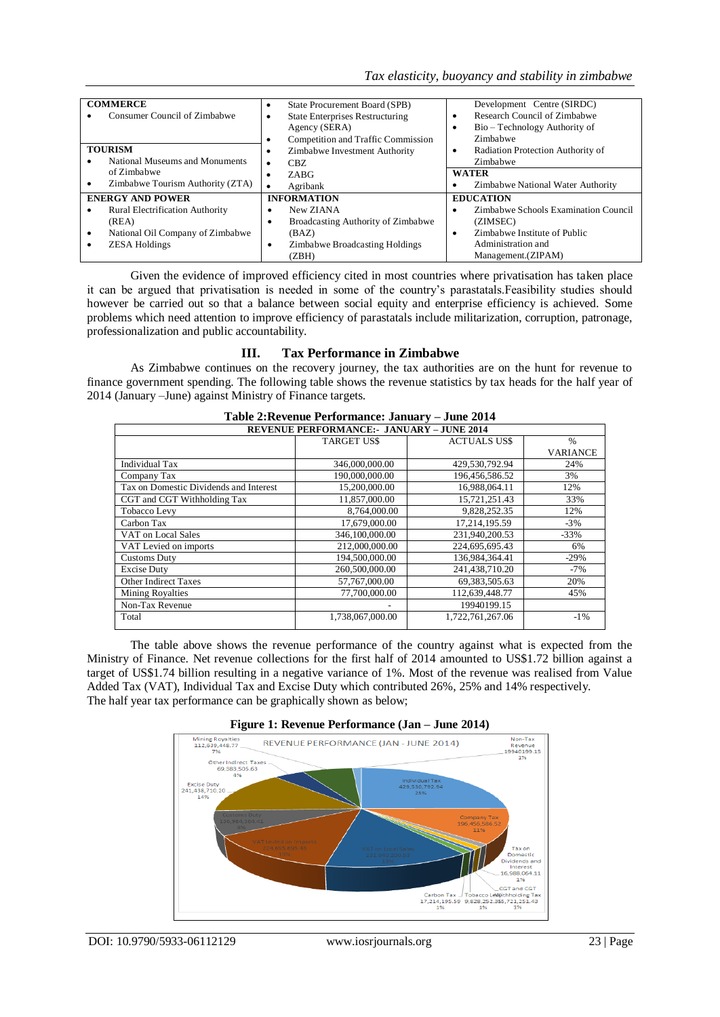| <b>COMMERCE</b>                        | State Procurement Board (SPB)<br>$\bullet$  | Development Centre (SIRDC)             |
|----------------------------------------|---------------------------------------------|----------------------------------------|
| Consumer Council of Zimbabwe           | <b>State Enterprises Restructuring</b><br>٠ | Research Council of Zimbabwe<br>٠      |
|                                        | Agency (SERA)                               | Bio – Technology Authority of<br>٠     |
|                                        | Competition and Traffic Commission          | Zimbabwe                               |
| <b>TOURISM</b>                         | Zimbabwe Investment Authority<br>٠          | Radiation Protection Authority of<br>٠ |
| National Museums and Monuments         | CBZ.<br>٠                                   | Zimbabwe                               |
| of Zimbabwe                            | ZABG<br>٠                                   | <b>WATER</b>                           |
| Zimbabwe Tourism Authority (ZTA)       | Agribank                                    | Zimbabwe National Water Authority<br>٠ |
| <b>ENERGY AND POWER</b>                | <b>INFORMATION</b>                          | <b>EDUCATION</b>                       |
| <b>Rural Electrification Authority</b> | New ZIANA<br>٠                              | Zimbabwe Schools Examination Council   |
| (REA)                                  | Broadcasting Authority of Zimbabwe<br>٠     | (ZIMSEC)                               |
| National Oil Company of Zimbabwe<br>٠  | (BAZ)                                       | Zimbabwe Institute of Public<br>٠      |
| <b>ZESA Holdings</b>                   | <b>Zimbabwe Broadcasting Holdings</b><br>٠  | Administration and                     |
|                                        | (ZBH)                                       | Management. (ZIPAM)                    |

Given the evidence of improved efficiency cited in most countries where privatisation has taken place it can be argued that privatisation is needed in some of the country's parastatals.Feasibility studies should however be carried out so that a balance between social equity and enterprise efficiency is achieved. Some problems which need attention to improve efficiency of parastatals include militarization, corruption, patronage, professionalization and public accountability.

# **III. Tax Performance in Zimbabwe**

As Zimbabwe continues on the recovery journey, the tax authorities are on the hunt for revenue to finance government spending. The following table shows the revenue statistics by tax heads for the half year of 2014 (January –June) against Ministry of Finance targets.

| Table 2: Revenue Performance: January – June 2014 |                   |                    |                 |  |  |  |  |  |
|---------------------------------------------------|-------------------|--------------------|-----------------|--|--|--|--|--|
| <b>REVENUE PERFORMANCE:- JANUARY - JUNE 2014</b>  |                   |                    |                 |  |  |  |  |  |
|                                                   | <b>TARGET USS</b> | <b>ACTUALS USS</b> | $\frac{0}{6}$   |  |  |  |  |  |
|                                                   |                   |                    | <b>VARIANCE</b> |  |  |  |  |  |
| <b>Individual Tax</b>                             | 346,000,000.00    | 429,530,792.94     | 24%             |  |  |  |  |  |
| Company Tax                                       | 190,000,000.00    | 196,456,586.52     | 3%              |  |  |  |  |  |
| Tax on Domestic Dividends and Interest            | 15,200,000.00     | 16,988,064.11      | 12%             |  |  |  |  |  |
| CGT and CGT Withholding Tax                       | 11.857.000.00     | 15,721,251.43      | 33%             |  |  |  |  |  |
| Tobacco Levy                                      | 8,764,000.00      | 9,828,252.35       | 12%             |  |  |  |  |  |
| Carbon Tax                                        | 17,679,000.00     | 17.214.195.59      | $-3\%$          |  |  |  |  |  |
| VAT on Local Sales                                | 346,100,000.00    | 231,940,200.53     | $-33%$          |  |  |  |  |  |
| VAT Levied on imports                             | 212,000,000.00    | 224,695,695.43     | 6%              |  |  |  |  |  |
| <b>Customs Duty</b>                               | 194.500.000.00    | 136.984.364.41     | $-29%$          |  |  |  |  |  |
| <b>Excise Duty</b>                                | 260,500,000.00    | 241,438,710.20     | $-7%$           |  |  |  |  |  |
| <b>Other Indirect Taxes</b>                       | 57,767,000.00     | 69, 383, 505. 63   | 20%             |  |  |  |  |  |
| <b>Mining Royalties</b>                           | 77,700,000.00     | 112,639,448.77     | 45%             |  |  |  |  |  |
| Non-Tax Revenue                                   |                   | 19940199.15        |                 |  |  |  |  |  |
| Total                                             | 1,738,067,000.00  | 1,722,761,267.06   | $-1\%$          |  |  |  |  |  |
|                                                   |                   |                    |                 |  |  |  |  |  |

The table above shows the revenue performance of the country against what is expected from the Ministry of Finance. Net revenue collections for the first half of 2014 amounted to US\$1.72 billion against a target of US\$1.74 billion resulting in a negative variance of 1%. Most of the revenue was realised from Value Added Tax (VAT), Individual Tax and Excise Duty which contributed 26%, 25% and 14% respectively. The half year tax performance can be graphically shown as below;



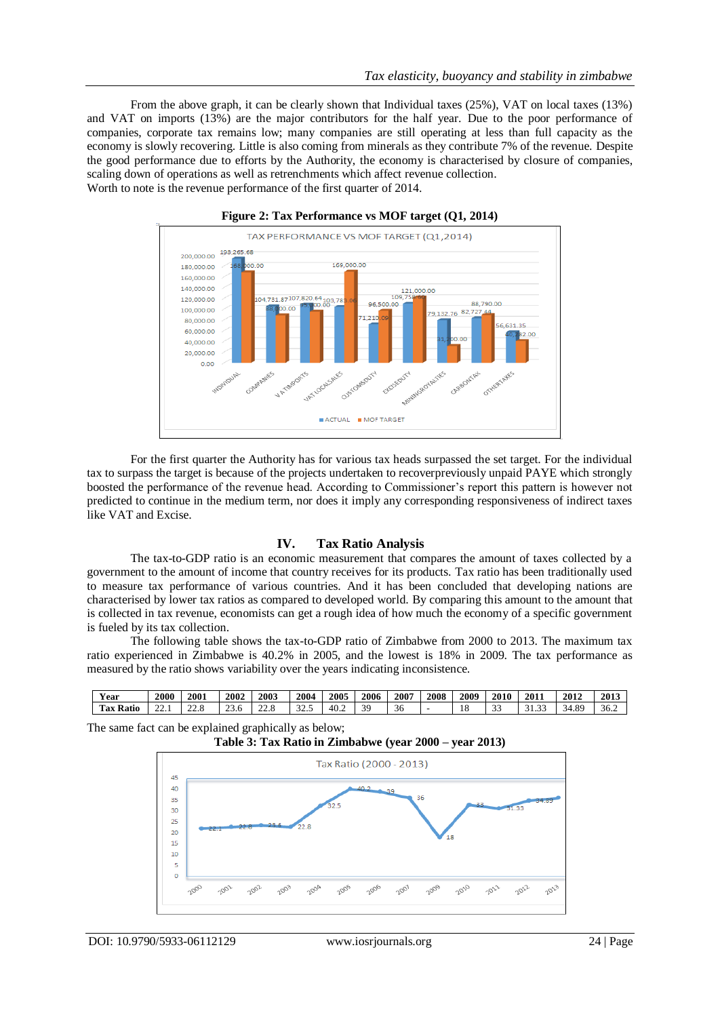From the above graph, it can be clearly shown that Individual taxes (25%), VAT on local taxes (13%) and VAT on imports (13%) are the major contributors for the half year. Due to the poor performance of companies, corporate tax remains low; many companies are still operating at less than full capacity as the economy is slowly recovering. Little is also coming from minerals as they contribute 7% of the revenue. Despite the good performance due to efforts by the Authority, the economy is characterised by closure of companies, scaling down of operations as well as retrenchments which affect revenue collection. Worth to note is the revenue performance of the first quarter of 2014.





For the first quarter the Authority has for various tax heads surpassed the set target. For the individual tax to surpass the target is because of the projects undertaken to recoverpreviously unpaid PAYE which strongly boosted the performance of the revenue head. According to Commissioner's report this pattern is however not predicted to continue in the medium term, nor does it imply any corresponding responsiveness of indirect taxes like VAT and Excise.

### **IV. Tax Ratio Analysis**

The tax-to-GDP ratio is an economic measurement that compares the amount of taxes collected by a government to the amount of income that country receives for its products. Tax ratio has been traditionally used to measure tax performance of various countries. And it has been concluded that developing nations are characterised by lower tax ratios as compared to developed world. By comparing this amount to the amount that is collected in tax revenue, economists can get a rough idea of how much the economy of a specific government is fueled by its tax collection.

The following table shows the tax-to-GDP ratio of Zimbabwe from 2000 to 2013. The maximum tax ratio experienced in Zimbabwe is 40.2% in 2005, and the lowest is 18% in 2009. The tax performance as measured by the ratio shows variability over the years indicating inconsistence.

| <b>Year</b>  | 2000                | 2001                  | 2002           | 2003           | 200 <sup>2</sup> | 2005 | 2006     | 2007 | 2008 | 2009 | 2010        | 2011        | 2012             | 2013 |
|--------------|---------------------|-----------------------|----------------|----------------|------------------|------|----------|------|------|------|-------------|-------------|------------------|------|
| Tax<br>Ratio | $\sim$<br>$- - - 1$ | $\sim$<br>$- - \cdot$ | $\sim$<br>25.0 | $\sim$<br>22.U | $\sim$<br>ر      | 40.2 | 30<br>ັ. | 50   |      | 18   | $\sim$<br>◡ | $\sim$<br>. | 8q<br>↵<br>т. о. | 36.2 |

The same fact can be explained graphically as below;

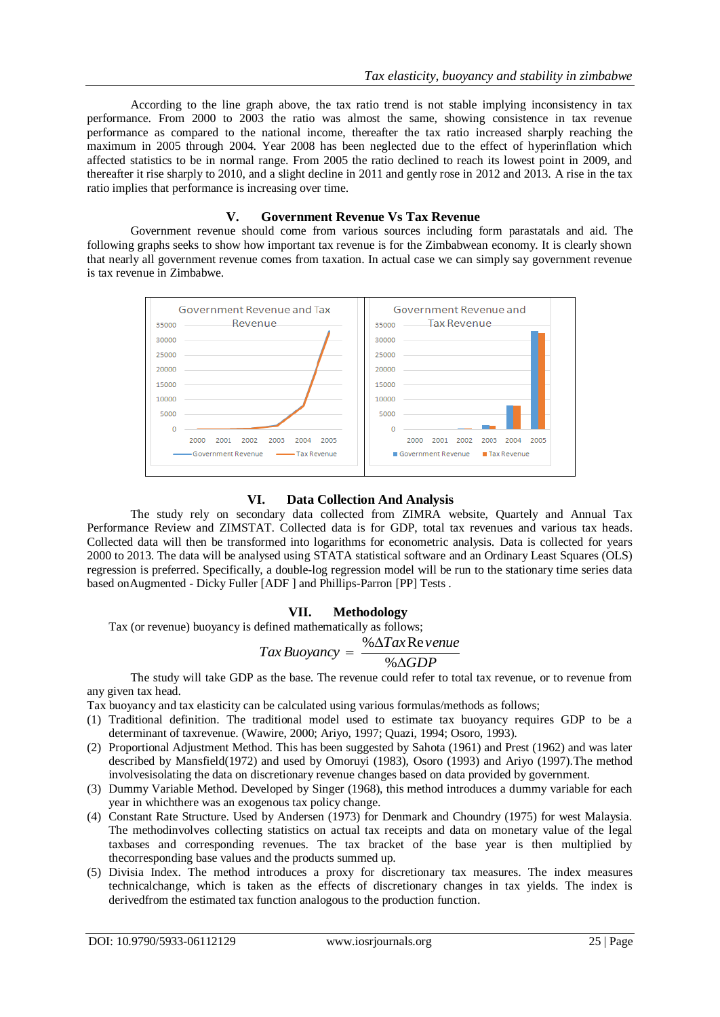According to the line graph above, the tax ratio trend is not stable implying inconsistency in tax performance. From 2000 to 2003 the ratio was almost the same, showing consistence in tax revenue performance as compared to the national income, thereafter the tax ratio increased sharply reaching the maximum in 2005 through 2004. Year 2008 has been neglected due to the effect of hyperinflation which affected statistics to be in normal range. From 2005 the ratio declined to reach its lowest point in 2009, and thereafter it rise sharply to 2010, and a slight decline in 2011 and gently rose in 2012 and 2013. A rise in the tax ratio implies that performance is increasing over time.

### **V. Government Revenue Vs Tax Revenue**

Government revenue should come from various sources including form parastatals and aid. The following graphs seeks to show how important tax revenue is for the Zimbabwean economy. It is clearly shown that nearly all government revenue comes from taxation. In actual case we can simply say government revenue is tax revenue in Zimbabwe.

| Government Revenue and Tax                                                                                                                    | Government Revenue and                                                                                                                  |
|-----------------------------------------------------------------------------------------------------------------------------------------------|-----------------------------------------------------------------------------------------------------------------------------------------|
| 35000 Revenue                                                                                                                                 | 35000 Tax Revenue                                                                                                                       |
| $30000$ $\qquad$<br>25000<br>20000<br>15000<br>10000<br>5000<br>2000<br>2001<br>2002<br>2003<br>2004 2005<br>Government Revenue - Tax Revenue | 30000 - 100000<br>$25000 -$<br>20000<br>15000<br>10000<br>5000<br>2000<br>2002 2003 2004 2005<br>2001<br>Government Revenue Tax Revenue |

# **VI. Data Collection And Analysis**

The study rely on secondary data collected from ZIMRA website, Quartely and Annual Tax Performance Review and ZIMSTAT. Collected data is for GDP, total tax revenues and various tax heads. Collected data will then be transformed into logarithms for econometric analysis. Data is collected for years 2000 to 2013. The data will be analysed using STATA statistical software and an Ordinary Least Squares (OLS) regression is preferred. Specifically, a double-log regression model will be run to the stationary time series data based onAugmented - Dicky Fuller [ADF ] and Phillips-Parron [PP] Tests .

# **VII. Methodology**

Tax (or revenue) buoyancy is defined mathematically as follows;

$$
Tax\,Buoyancy = \frac{\% \Delta Tax\,Review: 2.5.5}{\%}
$$

#### *GDP*  $\Delta$ %

The study will take GDP as the base. The revenue could refer to total tax revenue, or to revenue from any given tax head.

Tax buoyancy and tax elasticity can be calculated using various formulas/methods as follows;

- (1) Traditional definition. The traditional model used to estimate tax buoyancy requires GDP to be a determinant of taxrevenue. (Wawire, 2000; Ariyo, 1997; Quazi, 1994; Osoro, 1993).
- (2) Proportional Adjustment Method. This has been suggested by Sahota (1961) and Prest (1962) and was later described by Mansfield(1972) and used by Omoruyi (1983), Osoro (1993) and Ariyo (1997).The method involvesisolating the data on discretionary revenue changes based on data provided by government.
- (3) Dummy Variable Method. Developed by Singer (1968), this method introduces a dummy variable for each year in whichthere was an exogenous tax policy change.
- (4) Constant Rate Structure. Used by Andersen (1973) for Denmark and Choundry (1975) for west Malaysia. The methodinvolves collecting statistics on actual tax receipts and data on monetary value of the legal taxbases and corresponding revenues. The tax bracket of the base year is then multiplied by thecorresponding base values and the products summed up.
- (5) Divisia Index. The method introduces a proxy for discretionary tax measures. The index measures technicalchange, which is taken as the effects of discretionary changes in tax yields. The index is derivedfrom the estimated tax function analogous to the production function.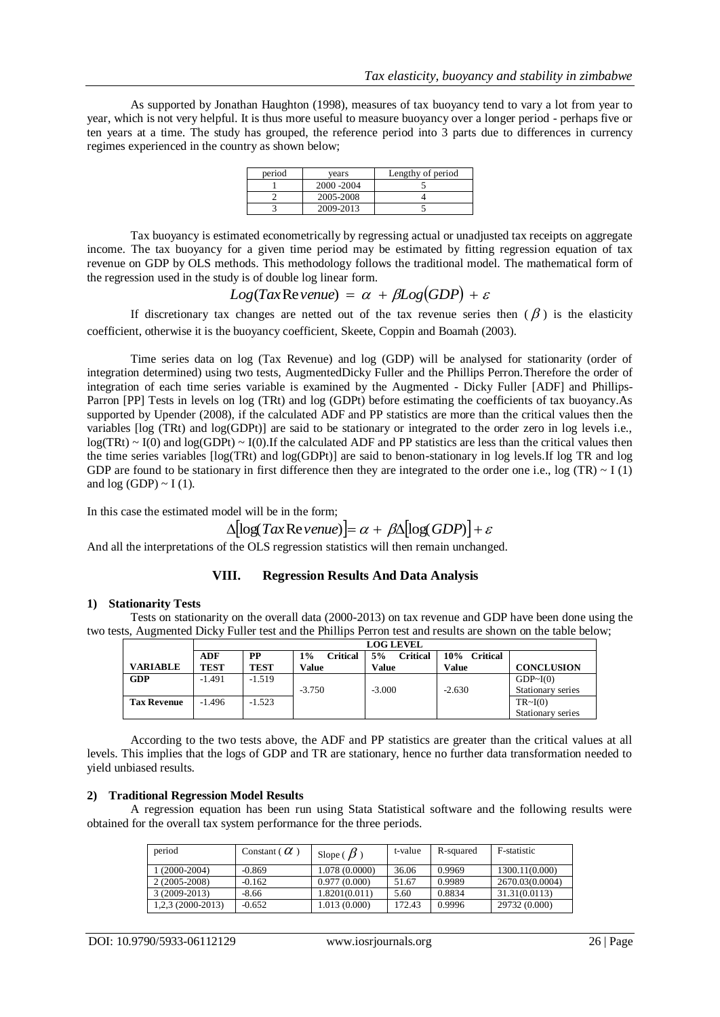As supported by Jonathan Haughton (1998), measures of tax buoyancy tend to vary a lot from year to year, which is not very helpful. It is thus more useful to measure buoyancy over a longer period - perhaps five or ten years at a time. The study has grouped, the reference period into 3 parts due to differences in currency regimes experienced in the country as shown below;

| period | vears       | Lengthy of period |
|--------|-------------|-------------------|
|        | 2000 - 2004 |                   |
|        | 2005-2008   |                   |
|        | 2009-2013   |                   |

Tax buoyancy is estimated econometrically by regressing actual or unadjusted tax receipts on aggregate income. The tax buoyancy for a given time period may be estimated by fitting regression equation of tax revenue on GDP by OLS methods. This methodology follows the traditional model. The mathematical form of the regression used in the study is of double log linear form.

$$
Log(Tax\text{Re} \text{ venue}) = \alpha + \beta Log(GDP) + \varepsilon
$$

If discretionary tax changes are netted out of the tax revenue series then  $(\beta)$  is the elasticity coefficient, otherwise it is the buoyancy coefficient, Skeete, Coppin and Boamah (2003).

Time series data on log (Tax Revenue) and log (GDP) will be analysed for stationarity (order of integration determined) using two tests, AugmentedDicky Fuller and the Phillips Perron.Therefore the order of integration of each time series variable is examined by the Augmented - Dicky Fuller [ADF] and Phillips-Parron [PP] Tests in levels on log (TRt) and log (GDPt) before estimating the coefficients of tax buoyancy.As supported by Upender (2008), if the calculated ADF and PP statistics are more than the critical values then the variables [log (TRt) and log(GDPt)] are said to be stationary or integrated to the order zero in log levels i.e.,  $log(TRt) \sim I(0)$  and  $log(GDPt) \sim I(0)$ . If the calculated ADF and PP statistics are less than the critical values then the time series variables [log(TRt) and log(GDPt)] are said to benon-stationary in log levels.If log TR and log GDP are found to be stationary in first difference then they are integrated to the order one i.e.,  $log (TR) \sim I(1)$ and  $log (GDP) \sim I(1)$ .

In this case the estimated model will be in the form;

$$
\Delta[\log Tax\text{Re} \, \text{venue})] = \alpha + \beta \Delta[\log(GDP)] + \varepsilon
$$

And all the interpretations of the OLS regression statistics will then remain unchanged.

# **VIII. Regression Results And Data Analysis**

## **1) Stationarity Tests**

Tests on stationarity on the overall data (2000-2013) on tax revenue and GDP have been done using the two tests, Augmented Dicky Fuller test and the Phillips Perron test and results are shown on the table below;

|                    |             | <b>LOG LEVEL</b> |                       |                       |                        |                   |  |  |  |
|--------------------|-------------|------------------|-----------------------|-----------------------|------------------------|-------------------|--|--|--|
|                    | ADF         | <b>PP</b>        | <b>Critical</b><br>1% | 5%<br><b>Critical</b> | 10%<br><b>Critical</b> |                   |  |  |  |
| <b>VARIABLE</b>    | <b>TEST</b> | <b>TEST</b>      | Value                 | Value                 | Value                  | <b>CONCLUSION</b> |  |  |  |
| <b>GDP</b>         | $-1.491$    | $-1.519$         |                       |                       |                        | GDP~I(0)          |  |  |  |
|                    |             |                  | $-3.750$              | $-3.000$              | $-2.630$               | Stationary series |  |  |  |
| <b>Tax Revenue</b> | $-1.496$    | $-1.523$         |                       |                       |                        | TR~1(0)           |  |  |  |
|                    |             |                  |                       |                       |                        | Stationary series |  |  |  |

According to the two tests above, the ADF and PP statistics are greater than the critical values at all levels. This implies that the logs of GDP and TR are stationary, hence no further data transformation needed to yield unbiased results.

### **2) Traditional Regression Model Results**

A regression equation has been run using Stata Statistical software and the following results were obtained for the overall tax system performance for the three periods.

| period             | Constant ( $\alpha$ ) | Slope ( $\beta$ ) | t-value | R-squared | F-statistic     |
|--------------------|-----------------------|-------------------|---------|-----------|-----------------|
| $(2000-2004)$      | -0.869                | 1.078 (0.0000)    | 36.06   | 0.9969    | 1300.11(0.000)  |
| 2 (2005-2008)      | $-0.162$              | 0.977(0.000)      | 51.67   | 0.9989    | 2670.03(0.0004) |
| $3(2009-2013)$     | -8.66                 | 1.8201(0.011)     | 5.60    | 0.8834    | 31.31(0.0113)   |
| $1,2,3(2000-2013)$ | $-0.652$              | 1.013 (0.000)     | 172.43  | 0.9996    | 29732 (0.000)   |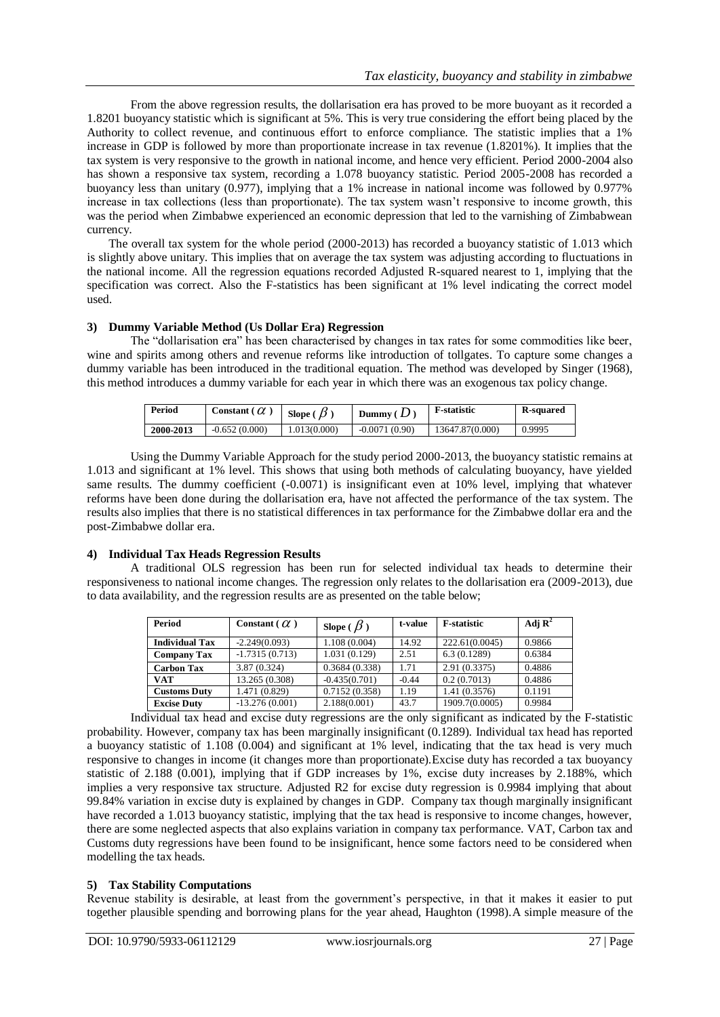From the above regression results, the dollarisation era has proved to be more buoyant as it recorded a 1.8201 buoyancy statistic which is significant at 5%. This is very true considering the effort being placed by the Authority to collect revenue, and continuous effort to enforce compliance. The statistic implies that a 1% increase in GDP is followed by more than proportionate increase in tax revenue (1.8201%). It implies that the tax system is very responsive to the growth in national income, and hence very efficient. Period 2000-2004 also has shown a responsive tax system, recording a 1.078 buoyancy statistic. Period 2005-2008 has recorded a buoyancy less than unitary (0.977), implying that a 1% increase in national income was followed by 0.977% increase in tax collections (less than proportionate). The tax system wasn't responsive to income growth, this was the period when Zimbabwe experienced an economic depression that led to the varnishing of Zimbabwean currency.

The overall tax system for the whole period (2000-2013) has recorded a buoyancy statistic of 1.013 which is slightly above unitary. This implies that on average the tax system was adjusting according to fluctuations in the national income. All the regression equations recorded Adjusted R-squared nearest to 1, implying that the specification was correct. Also the F-statistics has been significant at 1% level indicating the correct model used.

## **3) Dummy Variable Method (Us Dollar Era) Regression**

The "dollarisation era" has been characterised by changes in tax rates for some commodities like beer, wine and spirits among others and revenue reforms like introduction of tollgates. To capture some changes a dummy variable has been introduced in the traditional equation. The method was developed by Singer (1968), this method introduces a dummy variable for each year in which there was an exogenous tax policy change.

| Period    | Constant ( $\alpha$ | Slope $\theta$ | Dummy $(D)$     | <b>F</b> -statistic | <b>R-squared</b> |
|-----------|---------------------|----------------|-----------------|---------------------|------------------|
| 2000-2013 | $-0.652(0.000)$     | 1.013(0.000)   | $-0.0071(0.90)$ | 13647.87(0.000)     | 0.9995           |

Using the Dummy Variable Approach for the study period 2000-2013, the buoyancy statistic remains at 1.013 and significant at 1% level. This shows that using both methods of calculating buoyancy, have yielded same results. The dummy coefficient (-0.0071) is insignificant even at 10% level, implying that whatever reforms have been done during the dollarisation era, have not affected the performance of the tax system. The results also implies that there is no statistical differences in tax performance for the Zimbabwe dollar era and the post-Zimbabwe dollar era.

### **4) Individual Tax Heads Regression Results**

A traditional OLS regression has been run for selected individual tax heads to determine their responsiveness to national income changes. The regression only relates to the dollarisation era (2009-2013), due to data availability, and the regression results are as presented on the table below;

| Period                | Constant ( $\alpha$ ) | Slope ( $\beta$ ) | t-value | <b>F</b> -statistic | Adj $\mathbf{R}^2$ |
|-----------------------|-----------------------|-------------------|---------|---------------------|--------------------|
| <b>Individual Tax</b> | $-2.249(0.093)$       | 1.108 (0.004)     | 14.92   | 222.61(0.0045)      | 0.9866             |
| <b>Company Tax</b>    | $-1.7315(0.713)$      | 1.031 (0.129)     | 2.51    | 6.3(0.1289)         | 0.6384             |
| <b>Carbon Tax</b>     | 3.87 (0.324)          | 0.3684(0.338)     | 1.71    | 2.91(0.3375)        | 0.4886             |
| <b>VAT</b>            | 13.265 (0.308)        | $-0.435(0.701)$   | $-0.44$ | 0.2(0.7013)         | 0.4886             |
| <b>Customs Duty</b>   | 1.471 (0.829)         | 0.7152(0.358)     | 1.19    | 1.41 (0.3576)       | 0.1191             |
| <b>Excise Duty</b>    | $-13.276(0.001)$      | 2.188(0.001)      | 43.7    | 1909.7(0.0005)      | 0.9984             |

Individual tax head and excise duty regressions are the only significant as indicated by the F-statistic probability. However, company tax has been marginally insignificant (0.1289). Individual tax head has reported a buoyancy statistic of 1.108 (0.004) and significant at 1% level, indicating that the tax head is very much responsive to changes in income (it changes more than proportionate).Excise duty has recorded a tax buoyancy statistic of 2.188 (0.001), implying that if GDP increases by 1%, excise duty increases by 2.188%, which implies a very responsive tax structure. Adjusted R2 for excise duty regression is 0.9984 implying that about 99.84% variation in excise duty is explained by changes in GDP. Company tax though marginally insignificant have recorded a 1.013 buoyancy statistic, implying that the tax head is responsive to income changes, however, there are some neglected aspects that also explains variation in company tax performance. VAT, Carbon tax and Customs duty regressions have been found to be insignificant, hence some factors need to be considered when modelling the tax heads.

### **5) Tax Stability Computations**

Revenue stability is desirable, at least from the government's perspective, in that it makes it easier to put together plausible spending and borrowing plans for the year ahead, Haughton (1998).A simple measure of the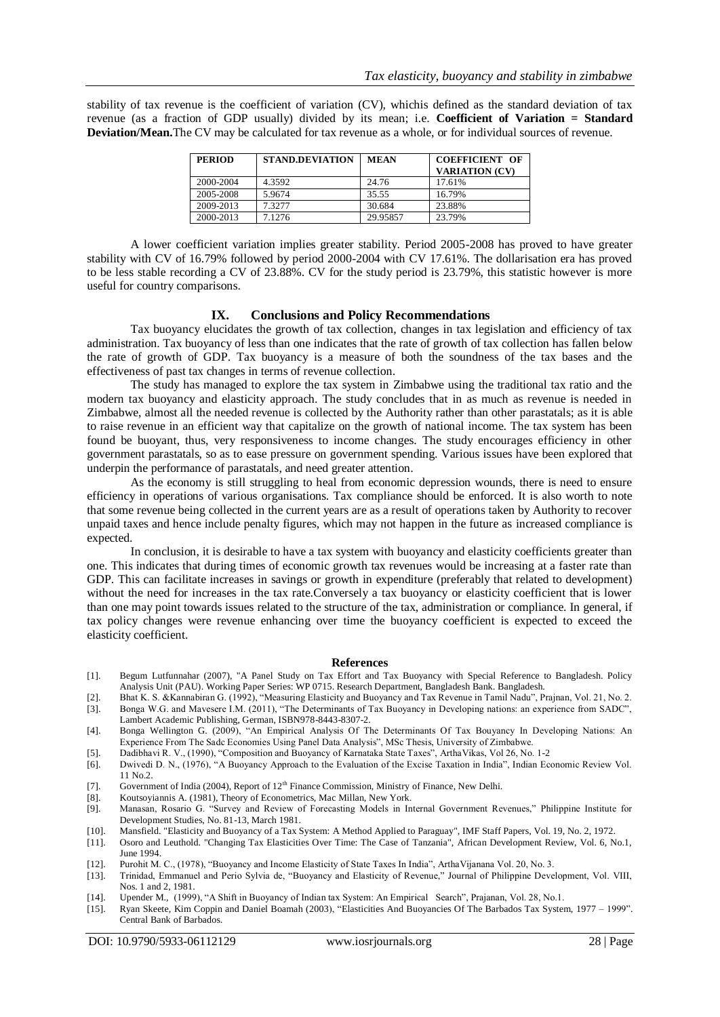stability of tax revenue is the coefficient of variation (CV), whichis defined as the standard deviation of tax revenue (as a fraction of GDP usually) divided by its mean; i.e. **Coefficient of Variation = Standard Deviation/Mean.**The CV may be calculated for tax revenue as a whole, or for individual sources of revenue.

| <b>PERIOD</b> | <b>STAND.DEVIATION</b> | <b>MEAN</b> | <b>COEFFICIENT OF</b><br><b>VARIATION (CV)</b> |
|---------------|------------------------|-------------|------------------------------------------------|
| 2000-2004     | 4.3592                 | 24.76       | 17.61%                                         |
| 2005-2008     | 5.9674                 | 35.55       | 16.79%                                         |
| 2009-2013     | 7.32.77                | 30.684      | 23.88%                                         |
| 2000-2013     | 7.1276                 | 29.95857    | 23.79%                                         |

A lower coefficient variation implies greater stability. Period 2005-2008 has proved to have greater stability with CV of 16.79% followed by period 2000-2004 with CV 17.61%. The dollarisation era has proved to be less stable recording a CV of 23.88%. CV for the study period is 23.79%, this statistic however is more useful for country comparisons.

### **IX. Conclusions and Policy Recommendations**

Tax buoyancy elucidates the growth of tax collection, changes in tax legislation and efficiency of tax administration. Tax buoyancy of less than one indicates that the rate of growth of tax collection has fallen below the rate of growth of GDP. Tax buoyancy is a measure of both the soundness of the tax bases and the effectiveness of past tax changes in terms of revenue collection.

The study has managed to explore the tax system in Zimbabwe using the traditional tax ratio and the modern tax buoyancy and elasticity approach. The study concludes that in as much as revenue is needed in Zimbabwe, almost all the needed revenue is collected by the Authority rather than other parastatals; as it is able to raise revenue in an efficient way that capitalize on the growth of national income. The tax system has been found be buoyant, thus, very responsiveness to income changes. The study encourages efficiency in other government parastatals, so as to ease pressure on government spending. Various issues have been explored that underpin the performance of parastatals, and need greater attention.

As the economy is still struggling to heal from economic depression wounds, there is need to ensure efficiency in operations of various organisations. Tax compliance should be enforced. It is also worth to note that some revenue being collected in the current years are as a result of operations taken by Authority to recover unpaid taxes and hence include penalty figures, which may not happen in the future as increased compliance is expected.

In conclusion, it is desirable to have a tax system with buoyancy and elasticity coefficients greater than one. This indicates that during times of economic growth tax revenues would be increasing at a faster rate than GDP. This can facilitate increases in savings or growth in expenditure (preferably that related to development) without the need for increases in the tax rate.Conversely a tax buoyancy or elasticity coefficient that is lower than one may point towards issues related to the structure of the tax, administration or compliance. In general, if tax policy changes were revenue enhancing over time the buoyancy coefficient is expected to exceed the elasticity coefficient.

### **References**

- [1]. Begum Lutfunnahar (2007), "A Panel Study on Tax Effort and Tax Buoyancy with Special Reference to Bangladesh. Policy Analysis Unit (PAU). Working Paper Series: WP 0715. Research Department, Bangladesh Bank. Bangladesh.
- [2]. Bhat K. S. & Kannabiran G. (1992), "Measuring Elasticity and Buoyancy and Tax Revenue in Tamil Nadu", Prajnan, Vol. 21, No. 2. [3]. Bonga W.G. and Mavesere I.M. (2011), "The Determinants of Tax Buoyancy in Developing
- [3]. Bonga W.G. and Mavesere I.M. (2011), "The Determinants of Tax Buoyancy in Developing nations: an experience from SADC", Lambert Academic Publishing, German, ISBN978-8443-8307-2.
- [4]. Bonga Wellington G. (2009), "An Empirical Analysis Of The Determinants Of Tax Bouyancy In Developing Nations: An Experience From The Sadc Economies Using Panel Data Analysis", MSc Thesis, University of Zimbabwe.
- [5]. Dadibhavi R. V., (1990), "Composition and Buoyancy of Karnataka State Taxes", ArthaVikas, Vol 26, No. 1-2
- [6]. Dwivedi D. N., (1976), "A Buoyancy Approach to the Evaluation of the Excise Taxation in India", Indian Economic Review Vol. 11 No.2.
- [7]. Government of India (2004), Report of  $12^{th}$  Finance Commission, Ministry of Finance, New Delhi.<br>[8]. Koutsoviannis A. (1981). Theory of Econometrics. Mac Millan. New York.
- Koutsoyiannis A. (1981), Theory of Econometrics, Mac Millan, New York.
- [9]. Manasan, Rosario G. "Survey and Review of Forecasting Models in Internal Government Revenues," Philippine Institute for Development Studies, No. 81-13, March 1981.
- [10]. Mansfield. "Elasticity and Buoyancy of a Tax System: A Method Applied to Paraguay", IMF Staff Papers, Vol. 19, No. 2, 1972.
- [11]. Osoro and Leuthold. "Changing Tax Elasticities Over Time: The Case of Tanzania", African Development Review, Vol. 6, No.1, June 1994.
- [12]. Purohit M. C., (1978), "Buoyancy and Income Elasticity of State Taxes In India", ArthaVijanana Vol. 20, No. 3.
- [13]. Trinidad, Emmanuel and Perio Sylvia de, "Buoyancy and Elasticity of Revenue," Journal of Philippine Development, Vol. VIII, Nos. 1 and 2, 1981.
- [14]. Upender M., (1999), "A Shift in Buoyancy of Indian tax System: An Empirical Search", Prajanan, Vol. 28, No.1.
- [15]. Ryan Skeete, Kim Coppin and Daniel Boamah (2003), "Elasticities And Buoyancies Of The Barbados Tax System, 1977 1999". Central Bank of Barbados.